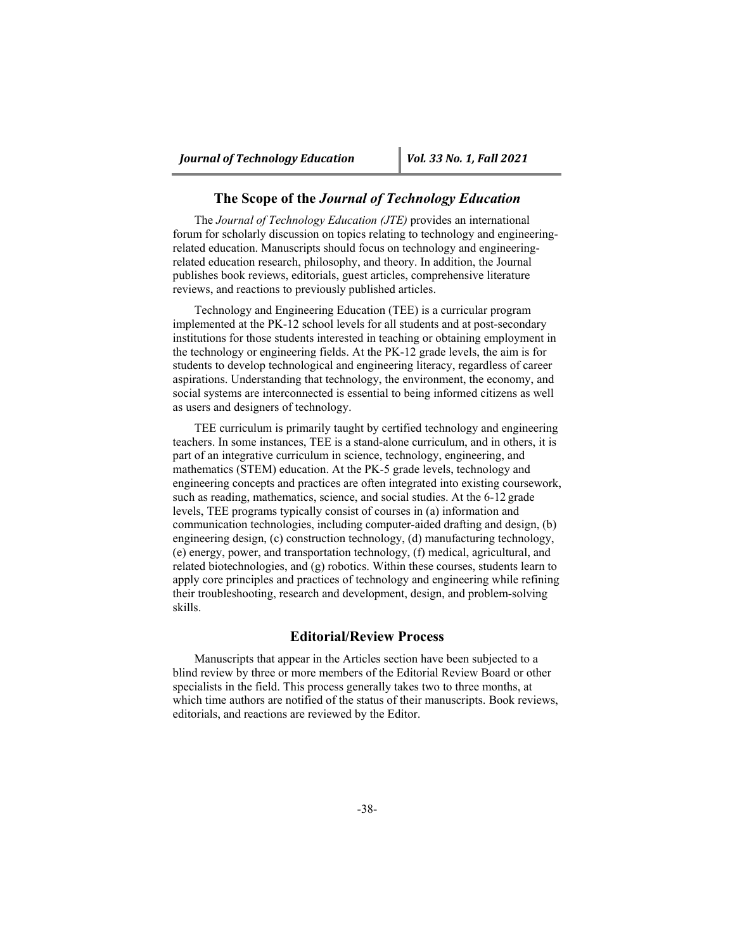## **The Scope of the** *Journal of Technology Education*

The *Journal of Technology Education (JTE)* provides an international forum for scholarly discussion on topics relating to technology and engineeringrelated education. Manuscripts should focus on technology and engineeringrelated education research, philosophy, and theory. In addition, the Journal publishes book reviews, editorials, guest articles, comprehensive literature reviews, and reactions to previously published articles.

Technology and Engineering Education (TEE) is a curricular program implemented at the PK-12 school levels for all students and at post-secondary institutions for those students interested in teaching or obtaining employment in the technology or engineering fields. At the PK-12 grade levels, the aim is for students to develop technological and engineering literacy, regardless of career aspirations. Understanding that technology, the environment, the economy, and social systems are interconnected is essential to being informed citizens as well as users and designers of technology.

TEE curriculum is primarily taught by certified technology and engineering teachers. In some instances, TEE is a stand-alone curriculum, and in others, it is part of an integrative curriculum in science, technology, engineering, and mathematics (STEM) education. At the PK-5 grade levels, technology and engineering concepts and practices are often integrated into existing coursework, such as reading, mathematics, science, and social studies. At the 6-12 grade levels, TEE programs typically consist of courses in (a) information and communication technologies, including computer-aided drafting and design, (b) engineering design, (c) construction technology, (d) manufacturing technology, (e) energy, power, and transportation technology, (f) medical, agricultural, and related biotechnologies, and (g) robotics. Within these courses, students learn to apply core principles and practices of technology and engineering while refining their troubleshooting, research and development, design, and problem-solving skills.

#### **Editorial/Review Process**

Manuscripts that appear in the Articles section have been subjected to a blind review by three or more members of the Editorial Review Board or other specialists in the field. This process generally takes two to three months, at which time authors are notified of the status of their manuscripts. Book reviews, editorials, and reactions are reviewed by the Editor.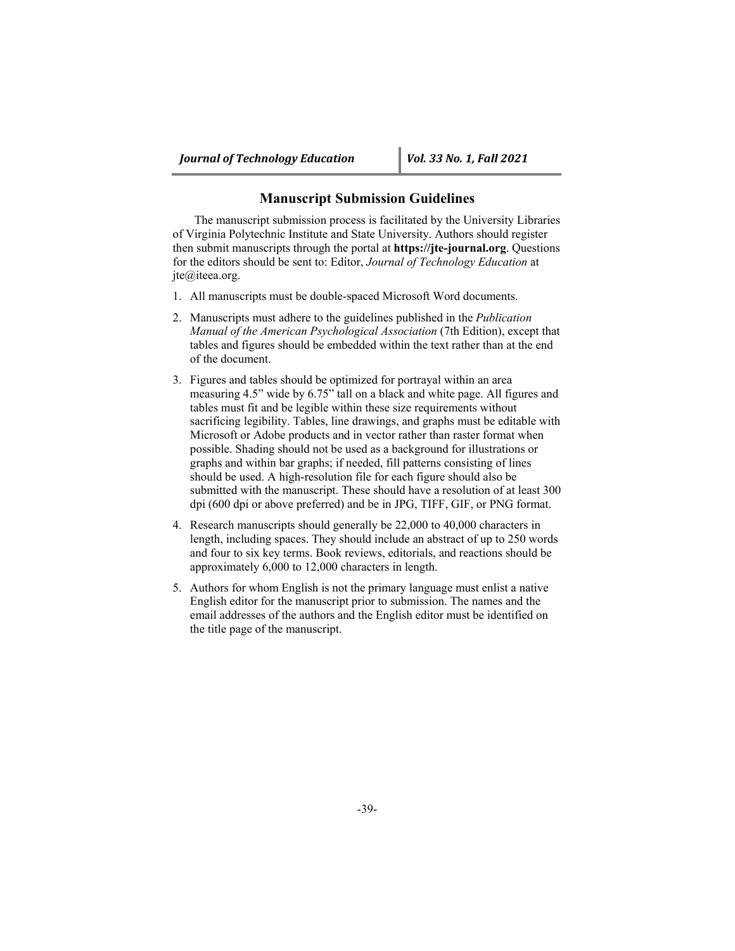## **Manuscript Submission Guidelines**

The manuscript submission process is facilitated by the University Libraries of Virginia Polytechnic Institute and State University. Authors should register then submit manuscripts through the portal at **https://jte-journal.org**. Questions for the editors should be sent to: Editor, *Journal of Technology Education* at jte@iteea.org.

- 1. All manuscripts must be double-spaced Microsoft Word documents.
- 2. Manuscripts must adhere to the guidelines published in the *Publication Manual of the American Psychological Association* (7th Edition), except that tables and figures should be embedded within the text rather than at the end of the document.
- 3. Figures and tables should be optimized for portrayal within an area measuring 4.5" wide by 6.75" tall on a black and white page. All figures and tables must fit and be legible within these size requirements without sacrificing legibility. Tables, line drawings, and graphs must be editable with Microsoft or Adobe products and in vector rather than raster format when possible. Shading should not be used as a background for illustrations or graphs and within bar graphs; if needed, fill patterns consisting of lines should be used. A high-resolution file for each figure should also be submitted with the manuscript. These should have a resolution of at least 300 dpi (600 dpi or above preferred) and be in JPG, TIFF, GIF, or PNG format.
- 4. Research manuscripts should generally be 22,000 to 40,000 characters in length, including spaces. They should include an abstract of up to 250 words and four to six key terms. Book reviews, editorials, and reactions should be approximately 6,000 to 12,000 characters in length.
- 5. Authors for whom English is not the primary language must enlist a native English editor for the manuscript prior to submission. The names and the email addresses of the authors and the English editor must be identified on the title page of the manuscript.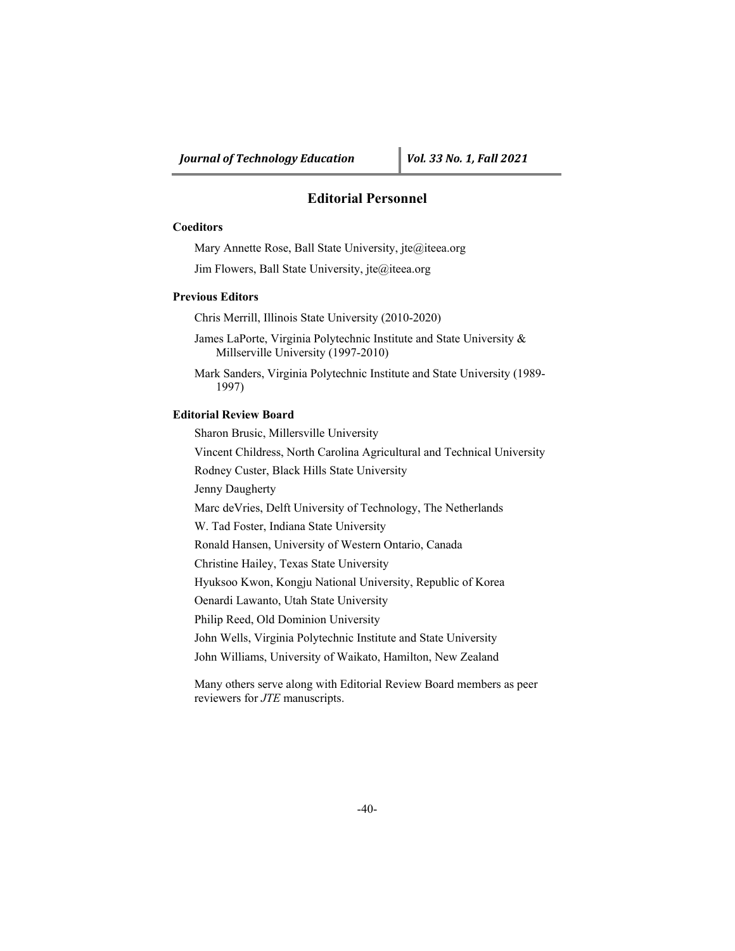# **Editorial Personnel**

#### **Coeditors**

Mary Annette Rose, Ball State University, jte@iteea.org

Jim Flowers, Ball State University, jte@iteea.org

## **Previous Editors**

Chris Merrill, Illinois State University (2010-2020)

James LaPorte, Virginia Polytechnic Institute and State University & Millserville University (1997-2010)

Mark Sanders, Virginia Polytechnic Institute and State University (1989- 1997)

## **Editorial Review Board**

Sharon Brusic, Millersville University

Vincent Childress, North Carolina Agricultural and Technical University

Rodney Custer, Black Hills State University

Jenny Daugherty

Marc deVries, Delft University of Technology, The Netherlands

W. Tad Foster, Indiana State University

Ronald Hansen, University of Western Ontario, Canada

Christine Hailey, Texas State University

Hyuksoo Kwon, Kongju National University, Republic of Korea

Oenardi Lawanto, Utah State University

Philip Reed, Old Dominion University

John Wells, Virginia Polytechnic Institute and State University

John Williams, University of Waikato, Hamilton, New Zealand

Many others serve along with Editorial Review Board members as peer reviewers for *JTE* manuscripts.